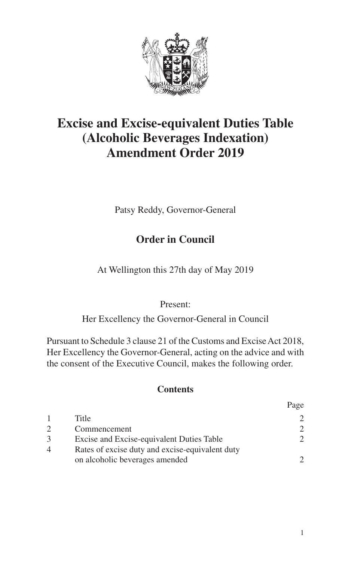

# **Excise and Excise-equivalent Duties Table (Alcoholic Beverages Indexation) Amendment Order 2019**

Patsy Reddy, Governor-General

### **Order in Council**

At Wellington this 27th day of May 2019

#### Present:

Her Excellency the Governor-General in Council

Pursuant to Schedule 3 clause 21 of the Customs and Excise Act 2018, Her Excellency the Governor-General, acting on the advice and with the consent of the Executive Council, makes the following order.

#### **Contents**

|   |                                                                                   | Page                        |
|---|-----------------------------------------------------------------------------------|-----------------------------|
|   | Title                                                                             | $\mathcal{D}_{\mathcal{L}}$ |
| 2 | Commencement                                                                      | $\mathcal{D}_{\mathcal{L}}$ |
|   | Excise and Excise-equivalent Duties Table                                         | $\mathcal{D}_{\mathcal{L}}$ |
| 4 | Rates of excise duty and excise-equivalent duty<br>on alcoholic beverages amended | $\mathcal{D}$               |